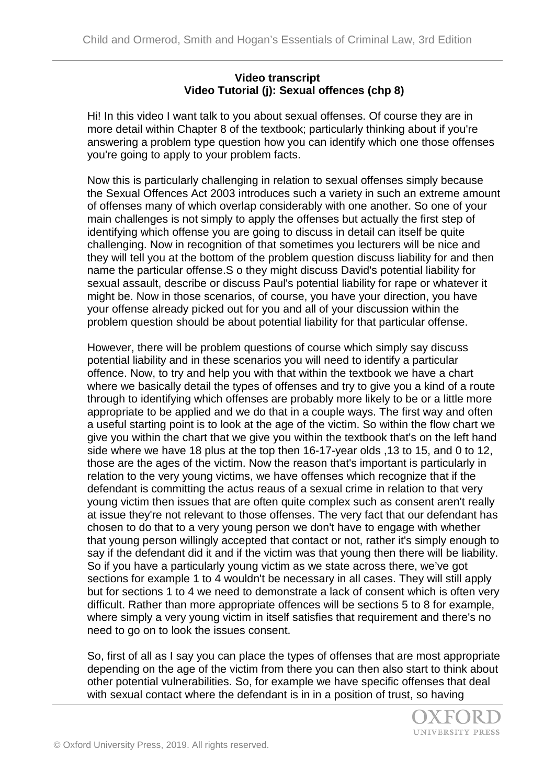## **Video transcript Video Tutorial (j): Sexual offences (chp 8)**

Hi! In this video I want talk to you about sexual offenses. Of course they are in more detail within Chapter 8 of the textbook; particularly thinking about if you're answering a problem type question how you can identify which one those offenses you're going to apply to your problem facts.

Now this is particularly challenging in relation to sexual offenses simply because the Sexual Offences Act 2003 introduces such a variety in such an extreme amount of offenses many of which overlap considerably with one another. So one of your main challenges is not simply to apply the offenses but actually the first step of identifying which offense you are going to discuss in detail can itself be quite challenging. Now in recognition of that sometimes you lecturers will be nice and they will tell you at the bottom of the problem question discuss liability for and then name the particular offense.S o they might discuss David's potential liability for sexual assault, describe or discuss Paul's potential liability for rape or whatever it might be. Now in those scenarios, of course, you have your direction, you have your offense already picked out for you and all of your discussion within the problem question should be about potential liability for that particular offense.

However, there will be problem questions of course which simply say discuss potential liability and in these scenarios you will need to identify a particular offence. Now, to try and help you with that within the textbook we have a chart where we basically detail the types of offenses and try to give you a kind of a route through to identifying which offenses are probably more likely to be or a little more appropriate to be applied and we do that in a couple ways. The first way and often a useful starting point is to look at the age of the victim. So within the flow chart we give you within the chart that we give you within the textbook that's on the left hand side where we have 18 plus at the top then 16-17-year olds ,13 to 15, and 0 to 12, those are the ages of the victim. Now the reason that's important is particularly in relation to the very young victims, we have offenses which recognize that if the defendant is committing the actus reaus of a sexual crime in relation to that very young victim then issues that are often quite complex such as consent aren't really at issue they're not relevant to those offenses. The very fact that our defendant has chosen to do that to a very young person we don't have to engage with whether that young person willingly accepted that contact or not, rather it's simply enough to say if the defendant did it and if the victim was that young then there will be liability. So if you have a particularly young victim as we state across there, we've got sections for example 1 to 4 wouldn't be necessary in all cases. They will still apply but for sections 1 to 4 we need to demonstrate a lack of consent which is often very difficult. Rather than more appropriate offences will be sections 5 to 8 for example, where simply a very young victim in itself satisfies that requirement and there's no need to go on to look the issues consent.

So, first of all as I say you can place the types of offenses that are most appropriate depending on the age of the victim from there you can then also start to think about other potential vulnerabilities. So, for example we have specific offenses that deal with sexual contact where the defendant is in in a position of trust, so having